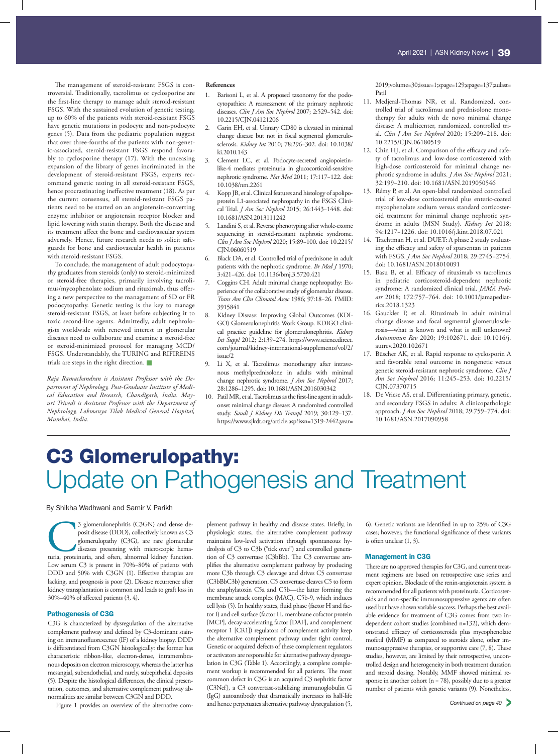The management of steroid-resistant FSGS is controversial. Traditionally, tacrolimus or cyclosporine are the first-line therapy to manage adult steroid-resistant FSGS. With the sustained evolution of genetic testing, up to 60% of the patients with steroid-resistant FSGS have genetic mutations in podocyte and non-podocyte genes (5). Data from the pediatric population suggest that over three-fourths of the patients with non-genetic-associated, steroid-resistant FSGS respond favorably to cyclosporine therapy (17). With the unceasing expansion of the library of genes incriminated in the development of steroid-resistant FSGS, experts recommend genetic testing in all steroid-resistant FSGS, hence procrastinating ineffective treatment (18). As per the current consensus, all steroid-resistant FSGS patients need to be started on an angiotensin-converting enzyme inhibitor or angiotensin receptor blocker and lipid lowering with statin therapy. Both the disease and its treatment affect the bone and cardiovascular system adversely. Hence, future research needs to solicit safeguards for bone and cardiovascular health in patients with steroid-resistant FSGS.

To conclude, the management of adult podocytopathy graduates from steroids (only) to steroid-minimized or steroid-free therapies, primarily involving tacrolimus/mycophenolate sodium and rituximab, thus offering a new perspective to the management of SD or FR podocytopathy. Genetic testing is the key to manage steroid-resistant FSGS, at least before subjecting it to toxic second-line agents. Admittedly, adult nephrologists worldwide with renewed interest in glomerular diseases need to collaborate and examine a steroid-free or steroid-minimized protocol for managing MCD/ FSGS. Understandably, the TURING and RIFIREINS trials are steps in the right direction.

*Raja Ramachandran is Assistant Professor with the Department of Nephrology, Post-Graduate Institute of Medical Education and Research, Chandigarh, India. Mayuri Trivedi is Assistant Professor with the Department of Nephrology, Lokmanya Tilak Medical General Hospital, Mumbai, India.*

### **References**

- 1. Barisoni L, et al. A proposed taxonomy for the podocytopathies: A reassessment of the primary nephrotic diseases. *Clin J Am Soc Nephrol* 2007; 2:529−542. doi: 10.2215/CJN.04121206
- 2. Garin EH, et al. Urinary CD80 is elevated in minimal change disease but not in focal segmental glomerulosclerosis. *Kidney Int* 2010; 78:296−302. doi: 10.1038/ ki.2010.143
- 3. Clement LC, et al. Podocyte-secreted angiopoietinlike-4 mediates proteinuria in glucocorticoid-sensitive nephrotic syndrome. *Nat Med* 2011; 17:117−122. doi: 10.1038/nm.2261
- 4. Kopp JB, et al. Clinical features and histology of apolipoprotein L1-associated nephropathy in the FSGS Clinical Trial. *J Am Soc Nephrol* 2015; 26:1443−1448. doi: 10.1681/ASN.2013111242
- 5. Landini S, et al. Reverse phenotyping after whole-exome sequencing in steroid-resistant nephrotic syndrome. *Clin J Am Soc Nephrol* 2020; 15:89−100. doi: 10.2215/ CJN.06060519
- 6. Black DA, et al. Controlled trial of prednisone in adult patients with the nephrotic syndrome. *Br Med J* 1970; 3:421−426. doi: 10.1136/bmj.3.5720.421
- 7. Coggins CH. Adult minimal change nephropathy: Experience of the collaborative study of glomerular disease. *Trans Am Clin Climatol Assoc* 1986; 97:18−26. PMID: 3915841
- 8. Kidney Disease: Improving Global Outcomes (KDI-GO) Glomerulonephritis Work Group. KDIGO clinical practice guideline for glomerulonephritis. *Kidney Int Suppl* 2012; 2:139−274. https://www.sciencedirect. com/journal/kidney-international-supplements/vol/2/ issue/2
- 9. Li X, et al. Tacrolimus monotherapy after intravenous methylprednisolone in adults with minimal change nephrotic syndrome. *J Am Soc Nephrol* 2017; 28:1286−1295. doi: 10.1681/ASN.2016030342
- 10. Patil MR, et al. Tacrolimus as the first-line agent in adultonset minimal change disease: A randomized controlled study. *Saudi J Kidney Dis Transpl* 2019; 30:129−137. https://www.sjkdt.org/article.asp?issn=1319-2442;year=

2019;volume=30;issue=1;spage=129;epage=137;aulast= Patil

- 11. Medjeral-Thomas NR, et al. Randomized, controlled trial of tacrolimus and prednisolone monotherapy for adults with de novo minimal change disease: A multicenter, randomized, controlled trial. *Clin J Am Soc Nephrol* 2020; 15:209−218. doi: 10.2215/CJN.06180519
- 12. Chin HJ, et al. Comparison of the efficacy and safety of tacrolimus and low-dose corticosteroid with high-dose corticosteroid for minimal change nephrotic syndrome in adults. *J Am Soc Nephrol* 2021; 32:199−210. doi: 10.1681/ASN.2019050546
- 13. Rémy P, et al. An open-label randomized controlled trial of low-dose corticosteroid plus enteric-coated mycophenolate sodium versus standard corticosteroid treatment for minimal change nephrotic syndrome in adults (MSN Study). *Kidney Int* 2018; 94:1217−1226. doi: 10.1016/j.kint.2018.07.021
- 14. Trachtman H, et al. DUET: A phase 2 study evaluating the efficacy and safety of sparsentan in patients with FSGS. *J Am Soc Nephrol* 2018; 29:2745−2754. doi: 10.1681/ASN.2018010091
- 15. Basu B, et al. Efficacy of rituximab vs tacrolimus in pediatric corticosteroid-dependent nephrotic syndrome: A randomized clinical trial. *JAMA Pediatr* 2018; 172:757−764. doi: 10.1001/jamapediatrics.2018.1323
- 16. Gauckler P, et al. Rituximab in adult minimal change disease and focal segmental glomerulosclerosis—what is known and what is still unknown? *Autoimmun Rev* 2020; 19:102671. doi: 10.1016/j. autrev.2020.102671
- 17. Büscher AK, et al. Rapid response to cyclosporin A and favorable renal outcome in nongenetic versus genetic steroid-resistant nephrotic syndrome. *Clin J Am Soc Nephrol* 2016; 11:245−253. doi: 10.2215/ CJN.07370715
- 18. De Vriese AS, et al. Differentiating primary, genetic, and secondary FSGS in adults: A clinicopathologic approach. *J Am Soc Nephrol* 2018; 29:759−774. doi: 10.1681/ASN.2017090958

# C3 Glomerulopathy: Update on Pathogenesis and Treatment

By Shikha Wadhwani and Samir V. Parikh

3 glomerulonephritis (C3GN) and dense deposit disease (DDD), collectively known as C3 glomerulopathy (C3G), are rare glomerular diseases presenting with microscopic hematuria, proteinuria, and often, abnormal kidney functi posit disease (DDD), collectively known as C3 glomerulopathy (C3G), are rare glomerular diseases presenting with microscopic hema-Low serum C3 is present in 70%−80% of patients with DDD and 50% with C3GN (1). Effective therapies are lacking, and prognosis is poor (2). Disease recurrence after kidney transplantation is common and leads to graft loss in 30%−40% of affected patients (3, 4).

### Pathogenesis of C3G

C3G is characterized by dysregulation of the alternative complement pathway and defined by C3-dominant staining on immunofluorescence (IF) of a kidney biopsy. DDD is differentiated from C3GN histologically: the former has characteristic ribbon-like, electron-dense, intramembranous deposits on electron microscopy, whereas the latter has mesangial, subendothelial, and rarely, subepithelial deposits (5). Despite the histological differences, the clinical presentation, outcomes, and alternative complement pathway abnormalities are similar between C3GN and DDD.

Figure 1 provides an overview of the alternative com-

plement pathway in healthy and disease states. Briefly, in physiologic states, the alternative complement pathway maintains low-level activation through spontaneous hydrolysis of C3 to C3b ("tick over") and controlled generation of C3 convertase (C3bBb). The C3 convertase amplifies the alternative complement pathway by producing more C3b through C3 cleavage and drives C5 convertase (C3bBbC3b) generation. C5 convertase cleaves C5 to form the anaphylatoxin C5a and C5b—the latter forming the membrane attack complex (MAC), C5b-9, which induces cell lysis (5). In healthy states, fluid phase (factor H and factor I) and cell surface (factor H, membrane cofactor protein [MCP], decay-accelerating factor [DAF], and complement receptor 1 [CR1]) regulators of complement activity keep the alternative complement pathway under tight control. Genetic or acquired defects of these complement regulators or activators are responsible for alternative pathway dysregulation in C3G (Table 1). Accordingly, a complete complement workup is recommended for all patients. The most common defect in C3G is an acquired C3 nephritic factor (C3Nef), a C3 convertase-stabilizing immunoglobulin G (IgG) autoantibody that dramatically increases its half-life and hence perpetuates alternative pathway dysregulation (5,

6). Genetic variants are identified in up to 25% of C3G cases; however, the functional significance of these variants is often unclear (1, 3).

#### Management in C3G

There are no approved therapies for C3G, and current treatment regimens are based on retrospective case series and expert opinion. Blockade of the renin-angiotensin system is recommended for all patients with proteinuria. Corticosteroids and non-specific immunosuppressive agents are often used but have shown variable success. Perhaps the best available evidence for treatment of C3G comes from two independent cohort studies (combined n=132), which demonstrated efficacy of corticosteroids plus mycophenolate mofetil (MMF) as compared to steroids alone, other immunosuppressive therapies, or supportive care  $(7, 8)$ . These studies, however, are limited by their retrospective, uncontrolled design and heterogeneity in both treatment duration and steroid dosing. Notably, MMF showed minimal response in another cohort ( $n = 78$ ), possibly due to a greater number of patients with genetic variants (9). Nonetheless,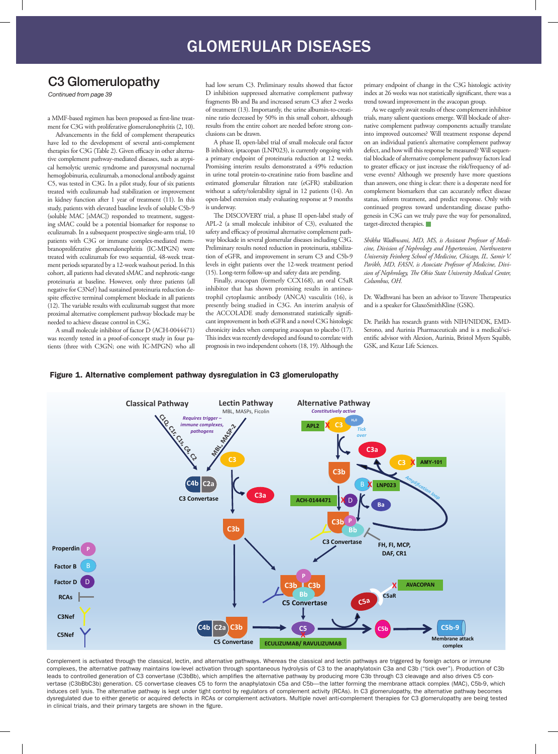# C3 Glomerulopathy

*Continued from page 39*

a MMF-based regimen has been proposed as first-line treatment for C3G with proliferative glomerulonephritis (2, 10).

Advancements in the field of complement therapeutics have led to the development of several anti-complement therapies for C3G (Table 2). Given efficacy in other alternative complement pathway-mediated diseases, such as atypical hemolytic uremic syndrome and paroxysmal nocturnal hemoglobinuria, eculizumab, a monoclonal antibody against C5, was tested in C3G. In a pilot study, four of six patients treated with eculizumab had stabilization or improvement in kidney function after 1 year of treatment (11). In this study, patients with elevated baseline levels of soluble C5b-9 (soluble MAC [sMAC]) responded to treatment, suggesting sMAC could be a potential biomarker for response to eculizumab. In a subsequent prospective single-arm trial, 10 patients with C3G or immune complex-mediated membranoproliferative glomerulonephritis (IC-MPGN) were treated with eculizumab for two sequential, 48-week treatment periods separated by a 12-week washout period. In this cohort, all patients had elevated sMAC and nephrotic-range proteinuria at baseline. However, only three patients (all negative for C3Nef) had sustained proteinuria reduction despite effective terminal complement blockade in all patients  $(12)$ . The variable results with eculizumab suggest that more proximal alternative complement pathway blockade may be needed to achieve disease control in C3G.

A small molecule inhibitor of factor D (ACH-0044471) was recently tested in a proof-of-concept study in four patients (three with C3GN; one with IC-MPGN) who all had low serum C3. Preliminary results showed that factor D inhibition suppressed alternative complement pathway fragments Bb and Ba and increased serum C3 after 2 weeks of treatment (13). Importantly, the urine albumin-to-creatinine ratio decreased by 50% in this small cohort, although results from the entire cohort are needed before strong conclusions can be drawn.

A phase II, open-label trial of small molecule oral factor B inhibitor, iptacopan (LNP023), is currently ongoing with a primary endpoint of proteinuria reduction at 12 weeks. Promising interim results demonstrated a 49% reduction in urine total protein-to-creatinine ratio from baseline and estimated glomerular filtration rate (eGFR) stabilization without a safety/tolerability signal in 12 patients (14). An open-label extension study evaluating response at 9 months is underway.

The DISCOVERY trial, a phase II open-label study of APL-2 (a small molecule inhibitor of C3), evaluated the safety and efficacy of proximal alternative complement pathway blockade in several glomerular diseases including C3G. Preliminary results noted reduction in proteinuria, stabilization of eGFR, and improvement in serum C3 and C5b-9 levels in eight patients over the 12-week treatment period (15). Long-term follow-up and safety data are pending.

Finally, avacopan (formerly CCX168), an oral C5aR inhibitor that has shown promising results in antineutrophil cytoplasmic antibody (ANCA) vasculitis (16), is presently being studied in C3G. An interim analysis of the ACCOLADE study demonstrated statistically significant improvement in both eGFR and a novel C3G histologic chronicity index when comparing avacopan to placebo (17). This index was recently developed and found to correlate with prognosis in two independent cohorts (18, 19). Although the

primary endpoint of change in the C3G histologic activity index at 26 weeks was not statistically significant, there was a trend toward improvement in the avacopan group.

As we eagerly await results of these complement inhibitor trials, many salient questions emerge. Will blockade of alternative complement pathway components actually translate into improved outcomes? Will treatment response depend on an individual patient's alternative complement pathway defect, and how will this response be measured? Will sequential blockade of alternative complement pathway factors lead to greater efficacy or just increase the risk/frequency of adverse events? Although we presently have more questions than answers, one thing is clear: there is a desperate need for complement biomarkers that can accurately reflect disease status, inform treatment, and predict response. Only with continued progress toward understanding disease pathogenesis in C3G can we truly pave the way for personalized, target-directed therapies.

*Shikha Wadhwani, MD, MS, is Assistant Professor of Medicine, Division of Nephrology and Hypertension, Northwestern University Feinberg School of Medicine, Chicago, IL. Samir V. Parikh, MD, FASN, is Associate Professor of Medicine, Divi*sion of Nephrology, The Ohio State University Medical Center, *Columbus, OH.*

Dr. Wadhwani has been an advisor to Travere Therapeutics and is a speaker for GlaxoSmithKline (GSK).

Dr. Parikh has research grants with NIH/NIDDK, EMD-Serono, and Aurinia Pharmaceuticals and is a medical/scientific advisor with Alexion, Aurinia, Bristol Myers Squibb, GSK, and Kezar Life Sciences.

### Figure 1. Alternative complement pathway dysregulation in C3 glomerulopathy



Complement is activated through the classical, lectin, and alternative pathways. Whereas the classical and lectin pathways are triggered by foreign actors or immune complexes, the alternative pathway maintains low-level activation through spontaneous hydrolysis of C3 to the anaphylatoxin C3a and C3b ("tick over"). Production of C3b leads to controlled generation of C3 convertase (C3bBb), which amplifies the alternative pathway by producing more C3b through C3 cleavage and also drives C5 convertase (C3bBbC3b) generation. C5 convertase cleaves C5 to form the anaphylatoxin C5a and C5b—the latter forming the membrane attack complex (MAC), C5b-9, which induces cell lysis. The alternative pathway is kept under tight control by regulators of complement activity (RCAs). In C3 glomerulopathy, the alternative pathway becomes dysregulated due to either genetic or acquired defects in RCAs or complement activators. Multiple novel anti-complement therapies for C3 glomerulopathy are being tested in clinical trials, and their primary targets are shown in the figure.